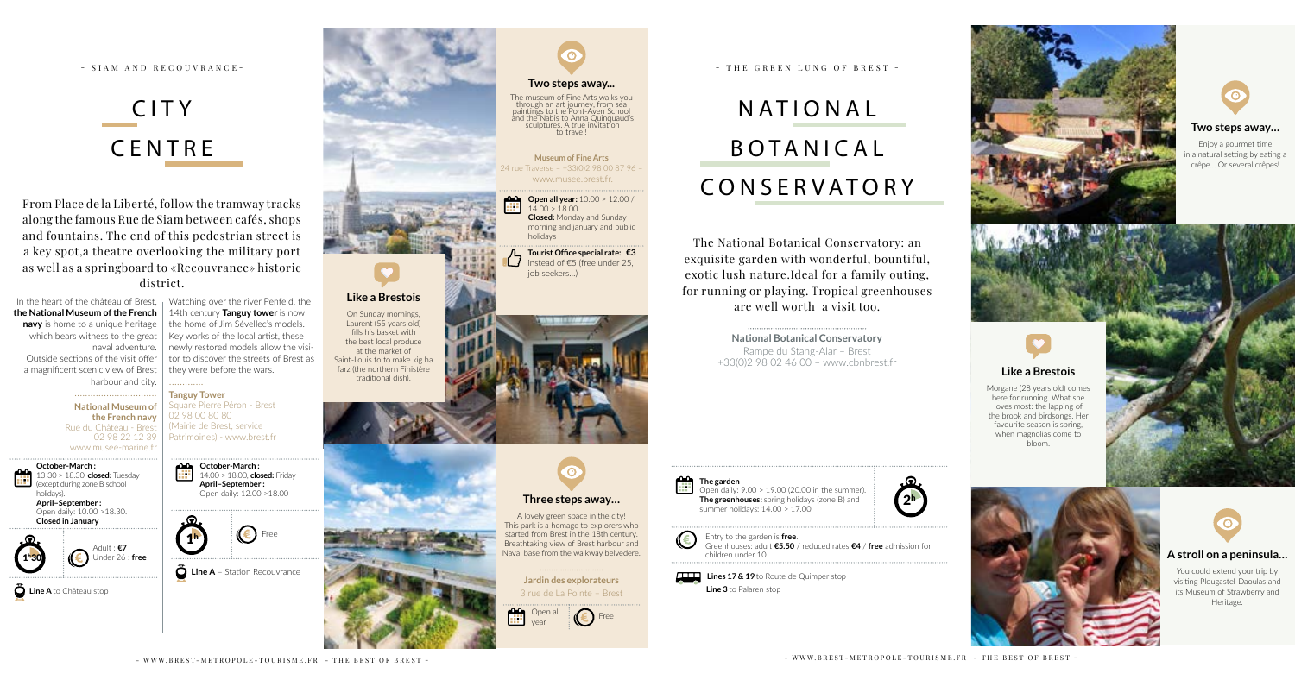

- SIAM AND RECOUVRANCE-

## CITY CENTRE

From Place de la Liberté, follow the tramway tracks along the famous Rue de Siam between cafés, shops and fountains. The end of this pedestrian street is a key spot,a theatre overlooking the military port as well as a springboard to «Recouvrance» historic district.

In the heart of the château of Brest **the National Museum of the French navy** is home to a unique heritage which bears witness to the great naval adventure. Outside sections of the visit offer a magnificent scenic view of Brest harbour and city. ...............................

> **October-March :** 13 .30 > 18.30, **closed:** Tuesday except during zone B school **April–September :**

holidays).

Ŵ

Open daily: 10.00 >18.30. **Closed in January**

> **Lines 17 & 19** to Route de Quimper stop **Line 3** to Palaren stop



- WWW.BREST-METROPOLE-TOURISME FR - THE BEST OF BREST - - - - - - WWW.BREST-METROPOLE-TOURISME.FR - THE BEST OF BREST -







 $\ddot{a}$  Line A to Château stop

Morgane (28 years old) comes here for running. What she loves most: the lapping of the brook and birdsongs. Her favourite season is spring, when magnolias come to bloom.







**National Museum of the French navy** Rue du Château - Brest 02 98 22 12 39 www.musee-marine.fr

Watching over the river Penfeld, the 14th century **Tanguy tower** is now the home of Jim Sévellec's models. Key works of the local artist, these newly restored models allow the visitor to discover the streets of Brest as they were before the wars. .............

#### **Tanguy Tower**

Square Pierre Péron - Brest 02 98 00 80 80 (Mairie de Brest, service Patrimoines) - www.brest.fr - THE GREEN LUNG OF BREST -

# NATIONAL BOTANICAL

CONSERVATORY

The National Botanical Conservatory: an exquisite garden with wonderful, bountiful, exotic lush nature.Ideal for a family outing, for running or playing. Tropical greenhouses are well worth a visit too.

> **National Botanical Conservatory** Rampe du Stang-Alar – Brest +33(0)2 98 02 46 00 – www.cbnbrest.fr



 Entry to the garden is **free**. Greenhouses: adult **€5.50** / reduced rates **€4** / **free** admission for children under 10

#### **Two steps away…**

Enjoy a gourmet time n a natural setting by eating a crêpe... Or several crêpes!





#### **Like a Brestois**

#### **A stroll on a peninsula…**

You could extend your trip by visiting Plougastel-Daoulas and its Museum of Strawberry and Heritage.







 $\ddot{O}$  Line A - Station Recouvrance